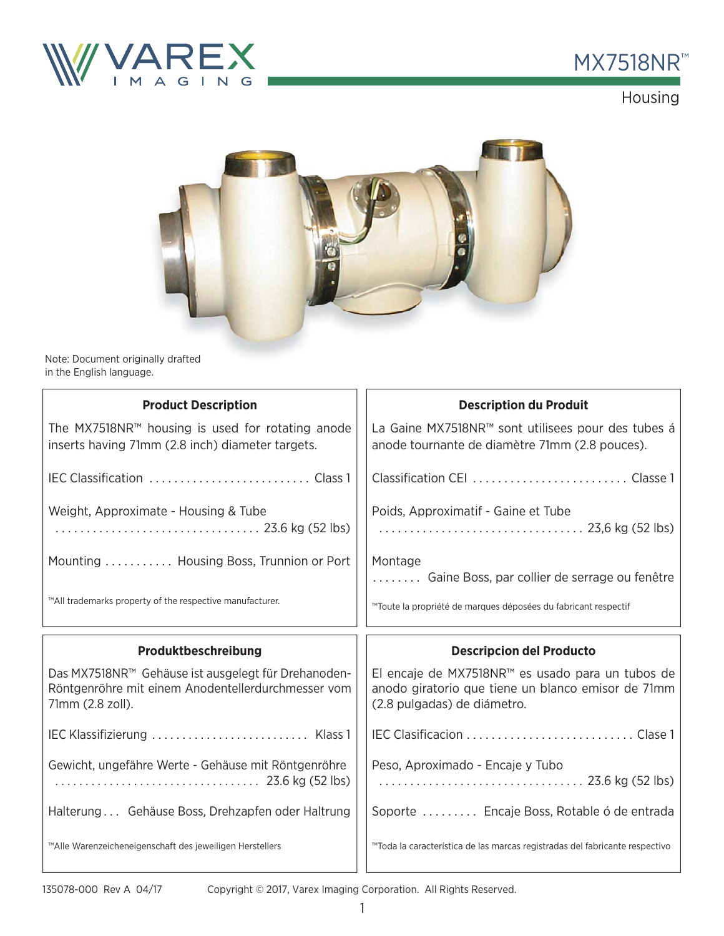



Housing



Note: Document originally drafted in the English language. ally drafted

| <b>Product Description</b>                                                                                                    | <b>Description du Produit</b>                                                                                                         |  |
|-------------------------------------------------------------------------------------------------------------------------------|---------------------------------------------------------------------------------------------------------------------------------------|--|
| The MX7518NR <sup>™</sup> housing is used for rotating anode<br>inserts having 71mm (2.8 inch) diameter targets.              | La Gaine MX7518NR™ sont utilisees pour des tubes á<br>anode tournante de diamètre 71mm (2.8 pouces).                                  |  |
|                                                                                                                               |                                                                                                                                       |  |
| Weight, Approximate - Housing & Tube<br>23.6 kg (52 lbs)                                                                      | Poids, Approximatif - Gaine et Tube<br>23,6 kg (52 lbs)                                                                               |  |
| Mounting  Housing Boss, Trunnion or Port                                                                                      | Montage<br>Gaine Boss, par collier de serrage ou fenêtre                                                                              |  |
| ™All trademarks property of the respective manufacturer.                                                                      | ™Toute la propriété de marques déposées du fabricant respectif                                                                        |  |
|                                                                                                                               |                                                                                                                                       |  |
| Produktbeschreibung                                                                                                           | <b>Descripcion del Producto</b>                                                                                                       |  |
| Das MX7518NR™ Gehäuse ist ausgelegt für Drehanoden-<br>Röntgenröhre mit einem Anodentellerdurchmesser vom<br>71mm (2.8 zoll). | El encaje de MX7518NR™ es usado para un tubos de<br>anodo giratorio que tiene un blanco emisor de 71mm<br>(2.8 pulgadas) de diámetro. |  |
|                                                                                                                               |                                                                                                                                       |  |
| Gewicht, ungefähre Werte - Gehäuse mit Röntgenröhre                                                                           | Peso, Aproximado - Encaje y Tubo                                                                                                      |  |
| Halterung Gehäuse Boss, Drehzapfen oder Haltrung                                                                              | Soporte  Encaje Boss, Rotable ó de entrada                                                                                            |  |

Copyright © 2017, Varex Imaging Corporation. All Rights Reserved.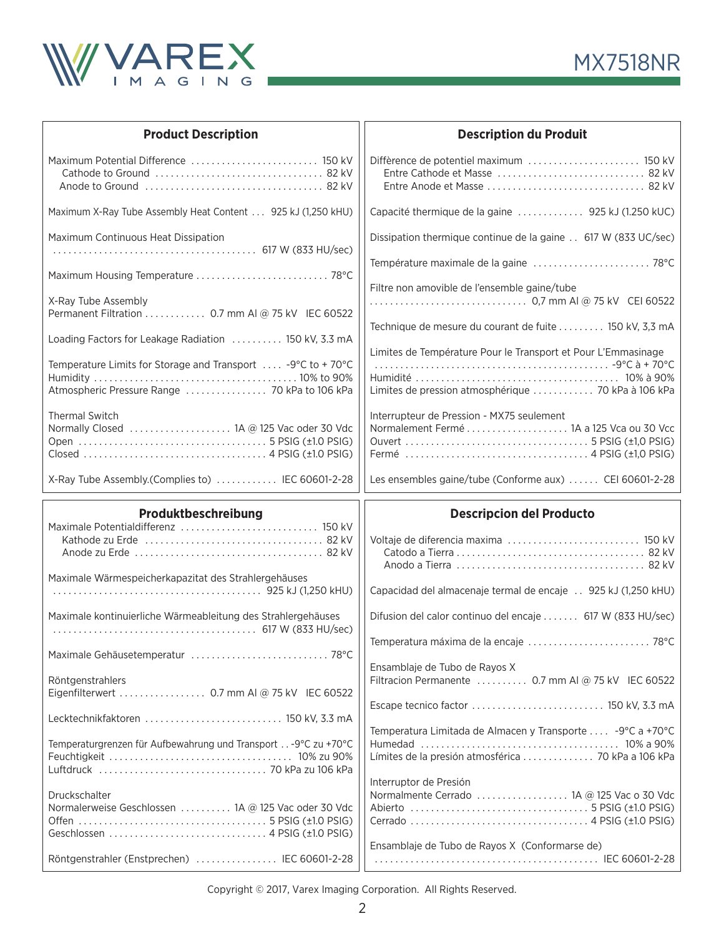



| <b>Product Description</b>                                                                                                                                                                                                                               | <b>Description du Produit</b>                                                                                                                                                   |  |
|----------------------------------------------------------------------------------------------------------------------------------------------------------------------------------------------------------------------------------------------------------|---------------------------------------------------------------------------------------------------------------------------------------------------------------------------------|--|
| Maximum Potential Difference  150 kV                                                                                                                                                                                                                     |                                                                                                                                                                                 |  |
| Maximum X-Ray Tube Assembly Heat Content 925 kJ (1,250 kHU)                                                                                                                                                                                              | Capacité thermique de la gaine  925 kJ (1.250 kUC)                                                                                                                              |  |
| Maximum Continuous Heat Dissipation<br>Maximum Housing Temperature  78°C                                                                                                                                                                                 | Dissipation thermique continue de la gaine 617 W (833 UC/sec)<br>Filtre non amovible de l'ensemble gaine/tube                                                                   |  |
| X-Ray Tube Assembly<br>Permanent Filtration 0.7 mm AI @ 75 kV IEC 60522<br>Loading Factors for Leakage Radiation  150 kV, 3.3 mA<br>Temperature Limits for Storage and Transport $\ldots$ -9°C to +70°C<br>Atmospheric Pressure Range  70 kPa to 106 kPa | Technique de mesure du courant de fuite  150 kV, 3,3 mA<br>Limites de Température Pour le Transport et Pour L'Emmasinage<br>Limites de pression atmosphérique  70 kPa à 106 kPa |  |
| <b>Thermal Switch</b><br>Normally Closed  1A @ 125 Vac oder 30 Vdc<br>X-Ray Tube Assembly.(Complies to)  IEC 60601-2-28                                                                                                                                  | Interrupteur de Pression - MX75 seulement<br>Normalement Fermé  1A a 125 Vca ou 30 Vcc<br>Les ensembles gaine/tube (Conforme aux)  CEI 60601-2-28                               |  |
|                                                                                                                                                                                                                                                          |                                                                                                                                                                                 |  |
|                                                                                                                                                                                                                                                          |                                                                                                                                                                                 |  |
| Produktbeschreibung<br>Maximale Potentialdifferenz  150 kV<br>Maximale Wärmespeicherkapazitat des Strahlergehäuses                                                                                                                                       | <b>Descripcion del Producto</b><br>Voltaje de diferencia maxima  150 kV<br>Capacidad del almacenaje termal de encaje 925 kJ (1,250 kHU)                                         |  |
| Maximale kontinuierliche Wärmeableitung des Strahlergehäuses                                                                                                                                                                                             | Difusion del calor continuo del encaje  617 W (833 HU/sec)<br>Temperatura máxima de la encaje  78°C                                                                             |  |
| Maximale Gehäusetemperatur  78°C<br>Röntgenstrahlers                                                                                                                                                                                                     | Ensamblaje de Tubo de Rayos X<br>Filtracion Permanente  0.7 mm AI @ 75 kV IEC 60522                                                                                             |  |
| Lecktechnikfaktoren  150 kV, 3.3 mA<br>Temperaturgrenzen für Aufbewahrung und Transport -9°C zu +70°C                                                                                                                                                    | Temperatura Limitada de Almacen y Transporte  -9°C a +70°C                                                                                                                      |  |
| Druckschalter<br>Normalerweise Geschlossen  1A @ 125 Vac oder 30 Vdc                                                                                                                                                                                     | Interruptor de Presión<br>Normalmente Cerrado  1A @ 125 Vac o 30 Vdc<br>Ensamblaje de Tubo de Rayos X (Conformarse de)                                                          |  |

Copyright © 2017, Varex Imaging Corporation. All Rights Reserved.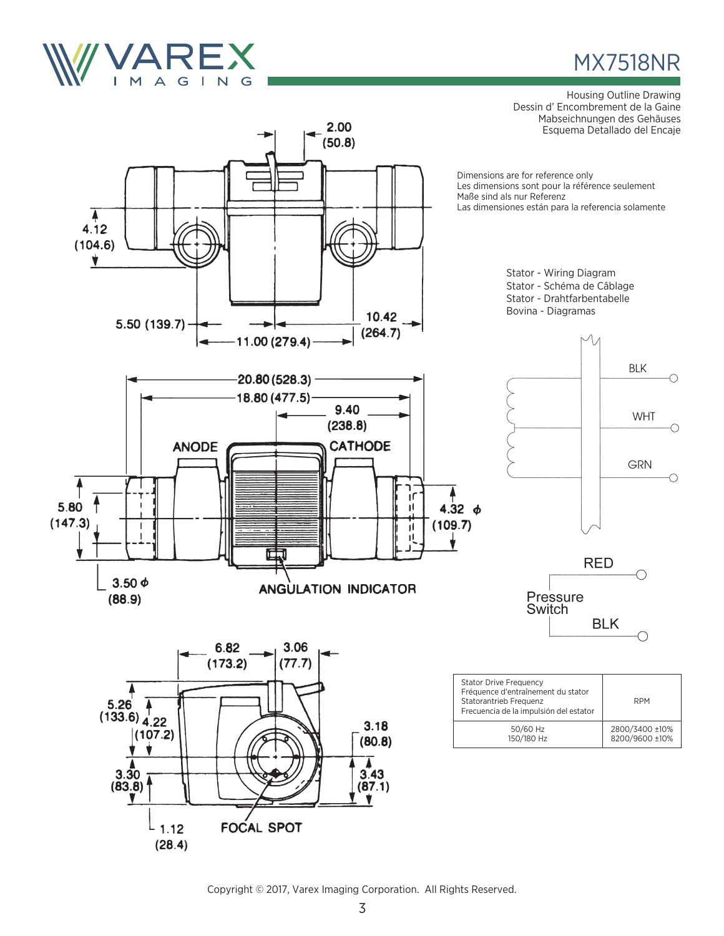

 $(28.4)$ 

## MX7518NR

Housing Outline Drawing Dessin d' Encombrement de la Gaine Mabseichnungen des Gehäuses Esquema Detallado del Encaje



Copyright © 2017, Varex Imaging Corporation. All Rights Reserved.